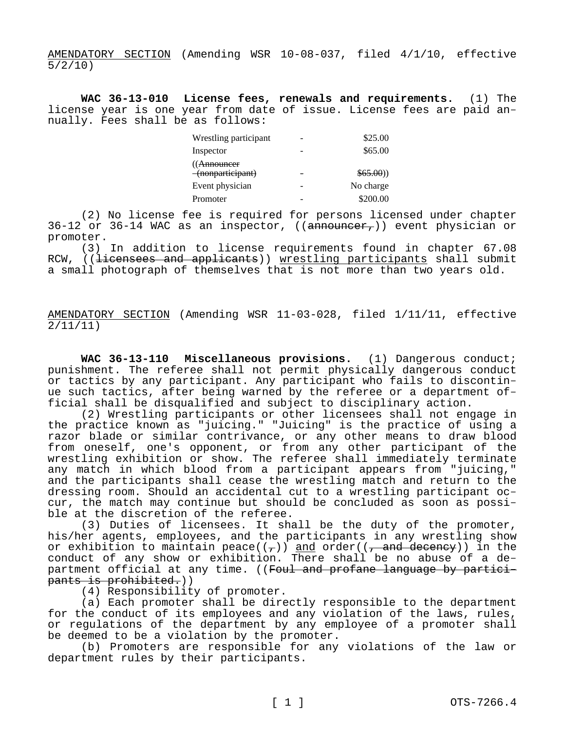AMENDATORY SECTION (Amending WSR 10-08-037, filed 4/1/10, effective 5/2/10)

**WAC 36-13-010 License fees, renewals and requirements.** (1) The license year is one year from date of issue. License fees are paid annually. Fees shall be as follows:

| Wrestling participant                       | \$25.00   |
|---------------------------------------------|-----------|
| Inspector                                   | \$65.00   |
| (( <del>Announcer</del><br>(nonparticipant) | \$65.00)  |
| Event physician                             | No charge |
| Promoter                                    | \$200.00  |

(2) No license fee is required for persons licensed under chapter  $36-12$  or  $36-14$  WAC as an inspector, ((announcer,)) event physician or promoter.

(3) In addition to license requirements found in chapter 67.08 RCW, ((licensees and applicants)) wrestling participants shall submit a small photograph of themselves that is not more than two years old.

AMENDATORY SECTION (Amending WSR 11-03-028, filed 1/11/11, effective 2/11/11)

**WAC 36-13-110 Miscellaneous provisions.** (1) Dangerous conduct; punishment. The referee shall not permit physically dangerous conduct or tactics by any participant. Any participant who fails to discontinue such tactics, after being warned by the referee or a department official shall be disqualified and subject to disciplinary action.

(2) Wrestling participants or other licensees shall not engage in the practice known as "juicing." "Juicing" is the practice of using a razor blade or similar contrivance, or any other means to draw blood from oneself, one's opponent, or from any other participant of the wrestling exhibition or show. The referee shall immediately terminate any match in which blood from a participant appears from "juicing," and the participants shall cease the wrestling match and return to the dressing room. Should an accidental cut to a wrestling participant occur, the match may continue but should be concluded as soon as possible at the discretion of the referee.

(3) Duties of licensees. It shall be the duty of the promoter, his/her agents, employees, and the participants in any wrestling show or exhibition to maintain peace( $(\tau)$ ) and order( $(\tau)$  and decency)) in the conduct of any show or exhibition. There shall be no abuse of a department official at any time. ((Foul and profane language by participants is prohibited.))

(4) Responsibility of promoter.

(a) Each promoter shall be directly responsible to the department for the conduct of its employees and any violation of the laws, rules, or regulations of the department by any employee of a promoter shall be deemed to be a violation by the promoter.

(b) Promoters are responsible for any violations of the law or department rules by their participants.